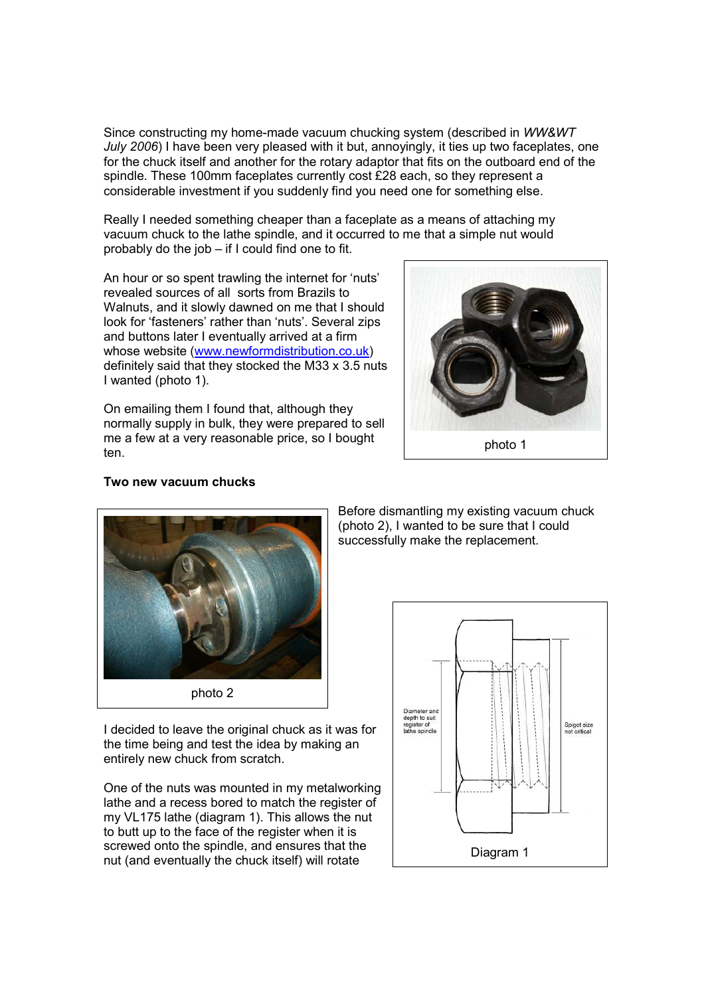Since constructing my home-made vacuum chucking system (described in WW&WT July 2006) I have been very pleased with it but, annoyingly, it ties up two faceplates, one for the chuck itself and another for the rotary adaptor that fits on the outboard end of the spindle. These 100mm faceplates currently cost £28 each, so they represent a considerable investment if you suddenly find you need one for something else.

Really I needed something cheaper than a faceplate as a means of attaching my vacuum chuck to the lathe spindle, and it occurred to me that a simple nut would probably do the job – if I could find one to fit.

An hour or so spent trawling the internet for 'nuts' revealed sources of all sorts from Brazils to Walnuts, and it slowly dawned on me that I should look for 'fasteners' rather than 'nuts'. Several zips and buttons later I eventually arrived at a firm whose website (www.newformdistribution.co.uk) definitely said that they stocked the M33 x 3.5 nuts I wanted (photo 1).

On emailing them I found that, although they normally supply in bulk, they were prepared to sell me a few at a very reasonable price, so I bought ten.



photo 1



Two new vacuum chucks

I decided to leave the original chuck as it was for the time being and test the idea by making an entirely new chuck from scratch.

One of the nuts was mounted in my metalworking lathe and a recess bored to match the register of my VL175 lathe (diagram 1). This allows the nut to butt up to the face of the register when it is screwed onto the spindle, and ensures that the nut (and eventually the chuck itself) will rotate

Before dismantling my existing vacuum chuck (photo 2), I wanted to be sure that I could successfully make the replacement.

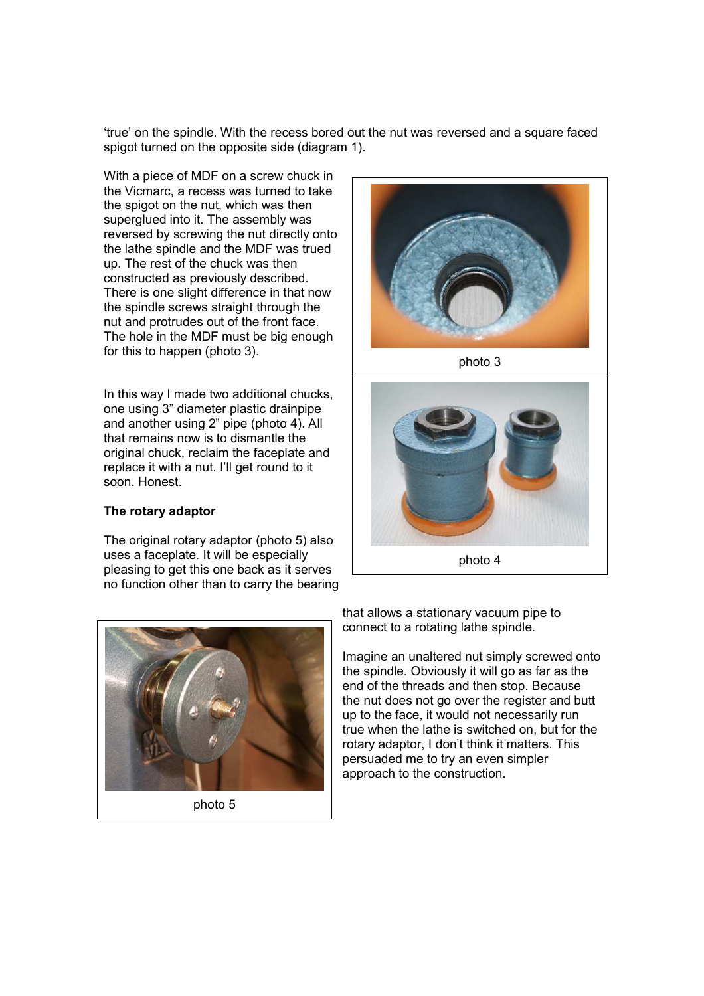'true' on the spindle. With the recess bored out the nut was reversed and a square faced spigot turned on the opposite side (diagram 1).

With a piece of MDF on a screw chuck in the Vicmarc, a recess was turned to take the spigot on the nut, which was then superglued into it. The assembly was reversed by screwing the nut directly onto the lathe spindle and the MDF was trued up. The rest of the chuck was then constructed as previously described. There is one slight difference in that now the spindle screws straight through the nut and protrudes out of the front face. The hole in the MDF must be big enough for this to happen (photo 3).

In this way I made two additional chucks, one using 3" diameter plastic drainpipe and another using 2" pipe (photo 4). All that remains now is to dismantle the original chuck, reclaim the faceplate and replace it with a nut. I'll get round to it soon. Honest.

## The rotary adaptor

The original rotary adaptor (photo 5) also uses a faceplate. It will be especially pleasing to get this one back as it serves no function other than to carry the bearing



photo 3



photo 4



photo 5

that allows a stationary vacuum pipe to connect to a rotating lathe spindle.

Imagine an unaltered nut simply screwed onto the spindle. Obviously it will go as far as the end of the threads and then stop. Because the nut does not go over the register and butt up to the face, it would not necessarily run true when the lathe is switched on, but for the rotary adaptor, I don't think it matters. This persuaded me to try an even simpler approach to the construction.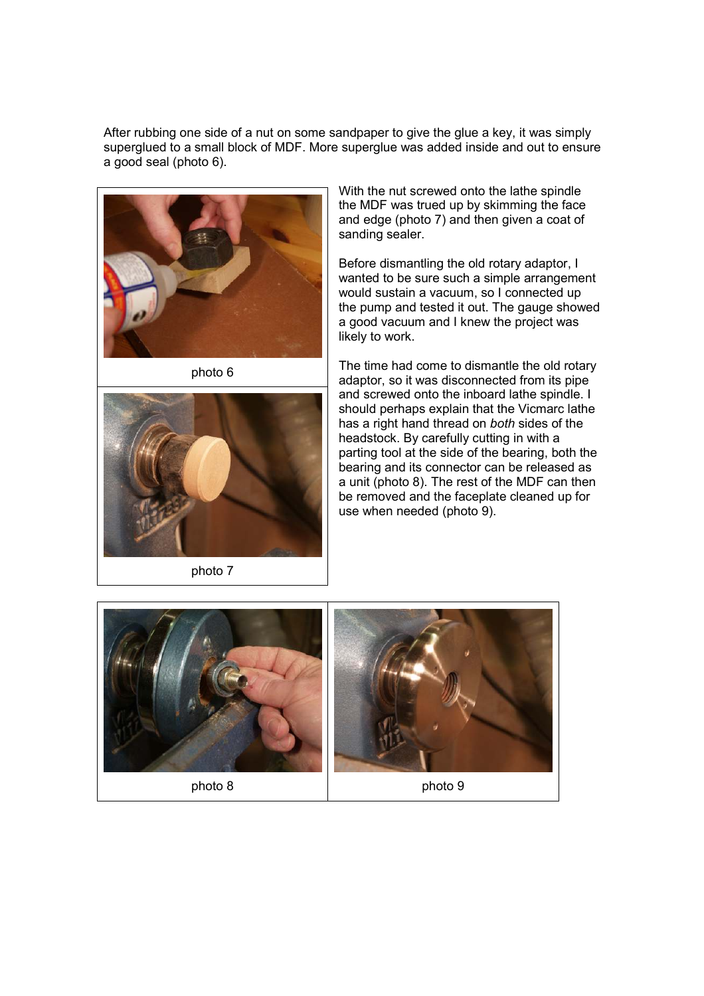After rubbing one side of a nut on some sandpaper to give the glue a key, it was simply superglued to a small block of MDF. More superglue was added inside and out to ensure a good seal (photo 6).



photo 6



photo 7

With the nut screwed onto the lathe spindle the MDF was trued up by skimming the face and edge (photo 7) and then given a coat of sanding sealer.

Before dismantling the old rotary adaptor, I wanted to be sure such a simple arrangement would sustain a vacuum, so I connected up the pump and tested it out. The gauge showed a good vacuum and I knew the project was likely to work.

The time had come to dismantle the old rotary adaptor, so it was disconnected from its pipe and screwed onto the inboard lathe spindle. I should perhaps explain that the Vicmarc lathe has a right hand thread on both sides of the headstock. By carefully cutting in with a parting tool at the side of the bearing, both the bearing and its connector can be released as a unit (photo 8). The rest of the MDF can then be removed and the faceplate cleaned up for use when needed (photo 9).

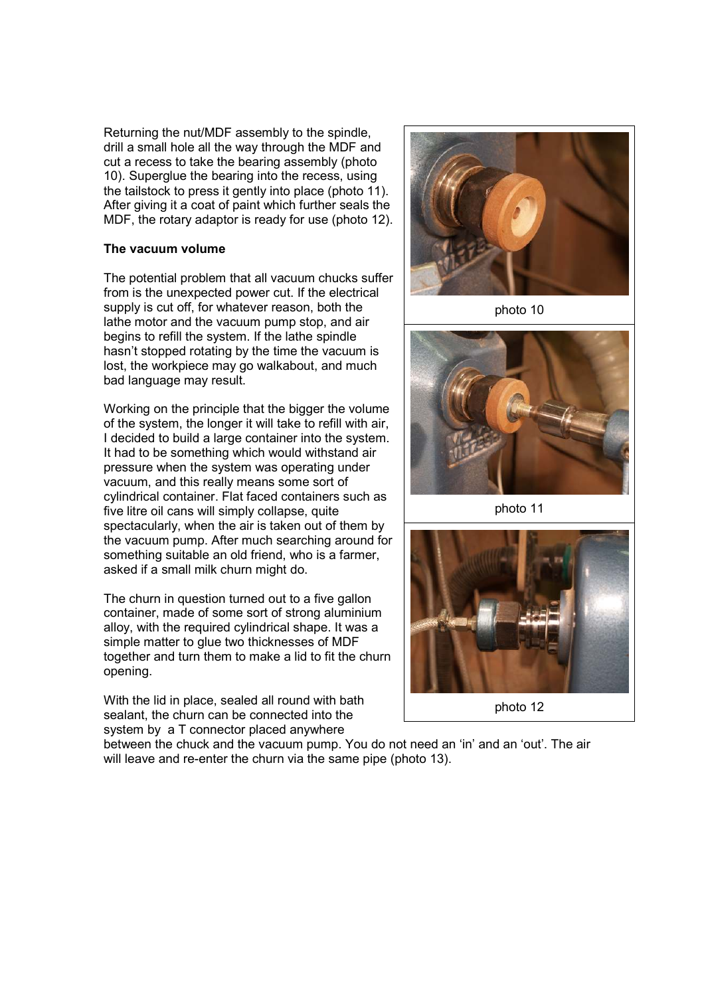Returning the nut/MDF assembly to the spindle, drill a small hole all the way through the MDF and cut a recess to take the bearing assembly (photo 10). Superglue the bearing into the recess, using the tailstock to press it gently into place (photo 11). After giving it a coat of paint which further seals the MDF, the rotary adaptor is ready for use (photo 12).

## The vacuum volume

The potential problem that all vacuum chucks suffer from is the unexpected power cut. If the electrical supply is cut off, for whatever reason, both the lathe motor and the vacuum pump stop, and air begins to refill the system. If the lathe spindle hasn't stopped rotating by the time the vacuum is lost, the workpiece may go walkabout, and much bad language may result.

Working on the principle that the bigger the volume of the system, the longer it will take to refill with air, I decided to build a large container into the system. It had to be something which would withstand air pressure when the system was operating under vacuum, and this really means some sort of cylindrical container. Flat faced containers such as five litre oil cans will simply collapse, quite spectacularly, when the air is taken out of them by the vacuum pump. After much searching around for something suitable an old friend, who is a farmer, asked if a small milk churn might do.

The churn in question turned out to a five gallon container, made of some sort of strong aluminium alloy, with the required cylindrical shape. It was a simple matter to glue two thicknesses of MDF together and turn them to make a lid to fit the churn opening.

With the lid in place, sealed all round with bath sealant, the churn can be connected into the system by a T connector placed anywhere



photo 10



photo 11



between the chuck and the vacuum pump. You do not need an 'in' and an 'out'. The air will leave and re-enter the churn via the same pipe (photo 13).